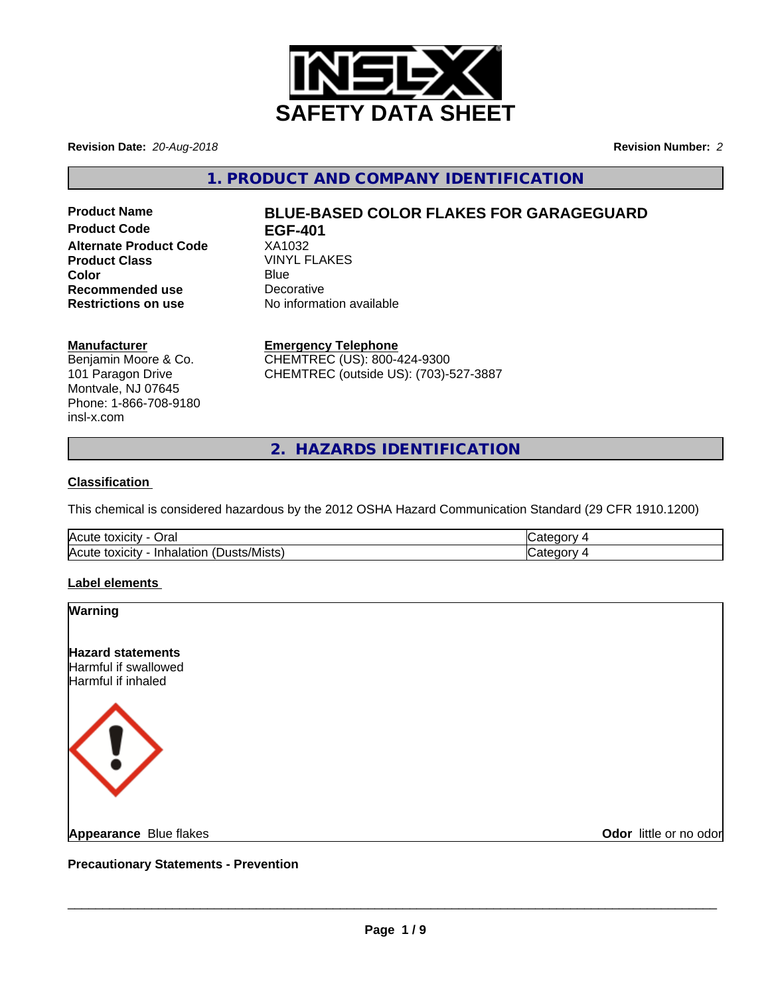

**Revision Date:** *20-Aug-2018* **Revision Number:** *2*

**1. PRODUCT AND COMPANY IDENTIFICATION**

**Product Code EGF-401 Alternate Product Code** XA1032 **Product Class** VINYL FLAKES **Color** Blue Blue **Recommended use** Decorative<br> **Restrictions on use** No informa

# **Product Name BLUE-BASED COLOR FLAKES FOR GARAGEGUARD**

**No information available** 

## **Manufacturer**

Benjamin Moore & Co. 101 Paragon Drive Montvale, NJ 07645 Phone: 1-866-708-9180 insl-x.com

**Emergency Telephone** CHEMTREC (US): 800-424-9300

CHEMTREC (outside US): (703)-527-3887

**2. HAZARDS IDENTIFICATION**

# **Classification**

This chemical is considered hazardous by the 2012 OSHA Hazard Communication Standard (29 CFR 1910.1200)

| Acute<br>$\sim$<br>⊃ra⊩<br>. . <i>.</i><br>∠ ιΟΧΙCιτ∨ −  |  |
|----------------------------------------------------------|--|
| .<br>Acute<br>'Mısts.<br>In<br>.<br>יצו ונ<br>∠ ιΟΧΙCιτν |  |

# **Label elements**

| <b>Warning</b>                                                         |                        |
|------------------------------------------------------------------------|------------------------|
| <b>Hazard statements</b><br>Harmful if swallowed<br>Harmful if inhaled |                        |
| $\langle \, ! \, \rangle$                                              |                        |
| <b>Appearance Blue flakes</b>                                          | Odor little or no odor |

**Precautionary Statements - Prevention**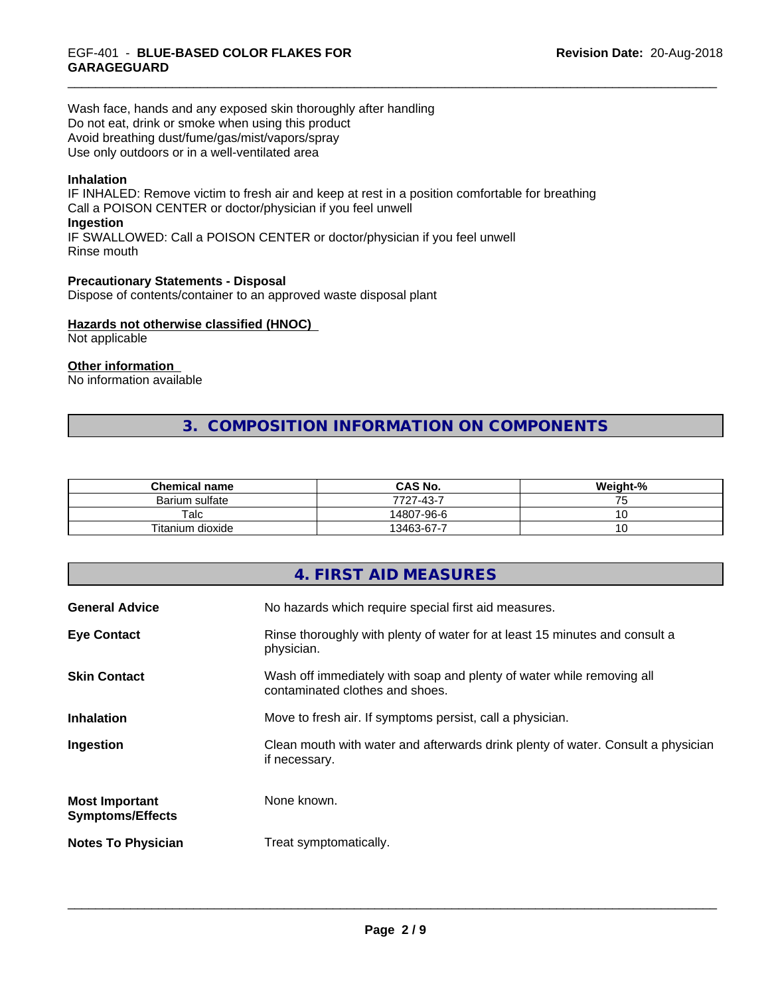Wash face, hands and any exposed skin thoroughly after handling Do not eat, drink or smoke when using this product Avoid breathing dust/fume/gas/mist/vapors/spray Use only outdoors or in a well-ventilated area

## **Inhalation**

IF INHALED: Remove victim to fresh air and keep at rest in a position comfortable for breathing Call a POISON CENTER or doctor/physician if you feel unwell **Ingestion** IF SWALLOWED: Call a POISON CENTER or doctor/physician if you feel unwell Rinse mouth

**Precautionary Statements - Disposal** Dispose of contents/container to an approved waste disposal plant

#### **Hazards not otherwise classified (HNOC)**

Not applicable

# **Other information**

No information available

# **3. COMPOSITION INFORMATION ON COMPONENTS**

| <b>Chemical name</b> | <b>CAS No.</b> | Weight-%        |
|----------------------|----------------|-----------------|
| Barium sulfate       | 7727-43-7      | .               |
| Talc                 | 14807-96-6     | ັ               |
| Titanium dioxide     | 13463-67-7     | $\cdot$ $\circ$ |

|                                                  | 4. FIRST AID MEASURES                                                                                    |
|--------------------------------------------------|----------------------------------------------------------------------------------------------------------|
| <b>General Advice</b>                            | No hazards which require special first aid measures.                                                     |
| <b>Eye Contact</b>                               | Rinse thoroughly with plenty of water for at least 15 minutes and consult a<br>physician.                |
| <b>Skin Contact</b>                              | Wash off immediately with soap and plenty of water while removing all<br>contaminated clothes and shoes. |
| <b>Inhalation</b>                                | Move to fresh air. If symptoms persist, call a physician.                                                |
| Ingestion                                        | Clean mouth with water and afterwards drink plenty of water. Consult a physician<br>if necessary.        |
| <b>Most Important</b><br><b>Symptoms/Effects</b> | None known.                                                                                              |
| <b>Notes To Physician</b>                        | Treat symptomatically.                                                                                   |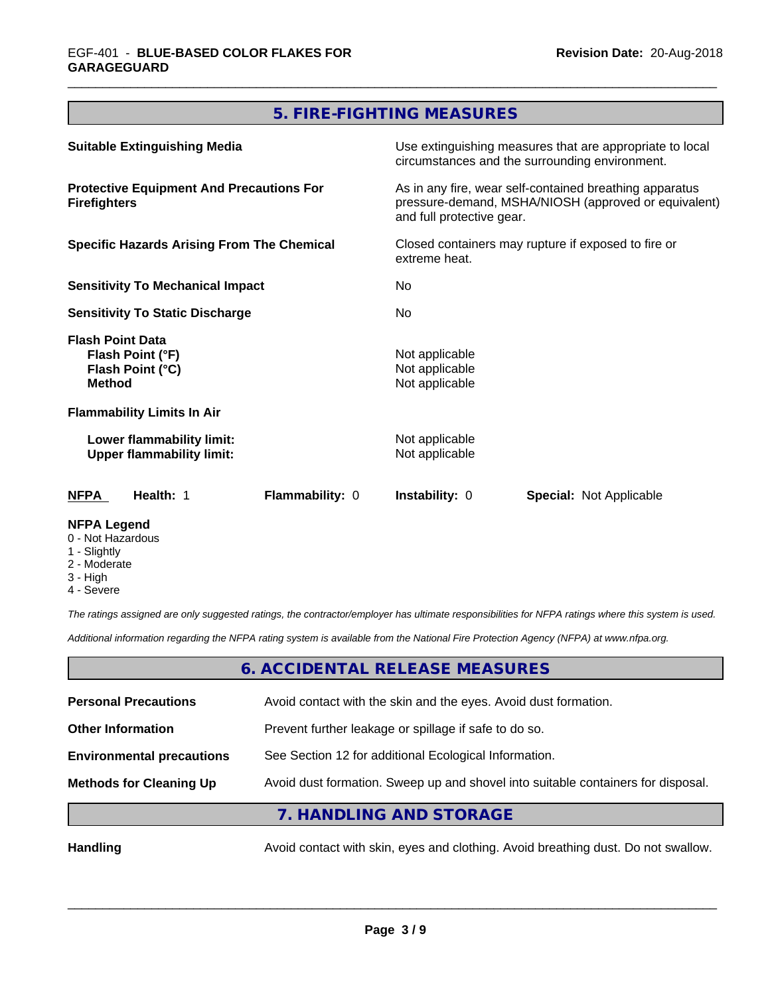# **5. FIRE-FIGHTING MEASURES**

| <b>Suitable Extinguishing Media</b><br><b>Protective Equipment And Precautions For</b><br><b>Firefighters</b><br><b>Specific Hazards Arising From The Chemical</b><br><b>Sensitivity To Mechanical Impact</b><br><b>Sensitivity To Static Discharge</b> |  | Use extinguishing measures that are appropriate to local<br>circumstances and the surrounding environment.<br>As in any fire, wear self-contained breathing apparatus<br>pressure-demand, MSHA/NIOSH (approved or equivalent)<br>and full protective gear.<br>Closed containers may rupture if exposed to fire or<br>extreme heat.<br>No.<br>No. |  |                                                                                  |                 |                                                    |                                |
|---------------------------------------------------------------------------------------------------------------------------------------------------------------------------------------------------------------------------------------------------------|--|--------------------------------------------------------------------------------------------------------------------------------------------------------------------------------------------------------------------------------------------------------------------------------------------------------------------------------------------------|--|----------------------------------------------------------------------------------|-----------------|----------------------------------------------------|--------------------------------|
|                                                                                                                                                                                                                                                         |  |                                                                                                                                                                                                                                                                                                                                                  |  | <b>Flash Point Data</b><br>Flash Point (°F)<br>Flash Point (°C)<br><b>Method</b> |                 | Not applicable<br>Not applicable<br>Not applicable |                                |
|                                                                                                                                                                                                                                                         |  |                                                                                                                                                                                                                                                                                                                                                  |  | <b>Flammability Limits In Air</b>                                                |                 |                                                    |                                |
|                                                                                                                                                                                                                                                         |  |                                                                                                                                                                                                                                                                                                                                                  |  | Lower flammability limit:<br><b>Upper flammability limit:</b>                    |                 | Not applicable<br>Not applicable                   |                                |
|                                                                                                                                                                                                                                                         |  |                                                                                                                                                                                                                                                                                                                                                  |  | <b>NFPA</b><br>Health: 1                                                         | Flammability: 0 | <b>Instability: 0</b>                              | <b>Special: Not Applicable</b> |
| <b>NFPA Legend</b>                                                                                                                                                                                                                                      |  |                                                                                                                                                                                                                                                                                                                                                  |  |                                                                                  |                 |                                                    |                                |

# 0 - Not Hazardous

- 1 Slightly
- 2 Moderate
- 3 High
- 4 Severe

*The ratings assigned are only suggested ratings, the contractor/employer has ultimate responsibilities for NFPA ratings where this system is used.*

*Additional information regarding the NFPA rating system is available from the National Fire Protection Agency (NFPA) at www.nfpa.org.*

# **6. ACCIDENTAL RELEASE MEASURES**

| <b>Personal Precautions</b>      | Avoid contact with the skin and the eyes. Avoid dust formation.                  |
|----------------------------------|----------------------------------------------------------------------------------|
| <b>Other Information</b>         | Prevent further leakage or spillage if safe to do so.                            |
| <b>Environmental precautions</b> | See Section 12 for additional Ecological Information.                            |
| <b>Methods for Cleaning Up</b>   | Avoid dust formation. Sweep up and shovel into suitable containers for disposal. |
|                                  | 7. HANDLING AND STORAGE                                                          |

Handling **Handling Avoid contact with skin, eyes and clothing. Avoid breathing dust. Do not swallow.**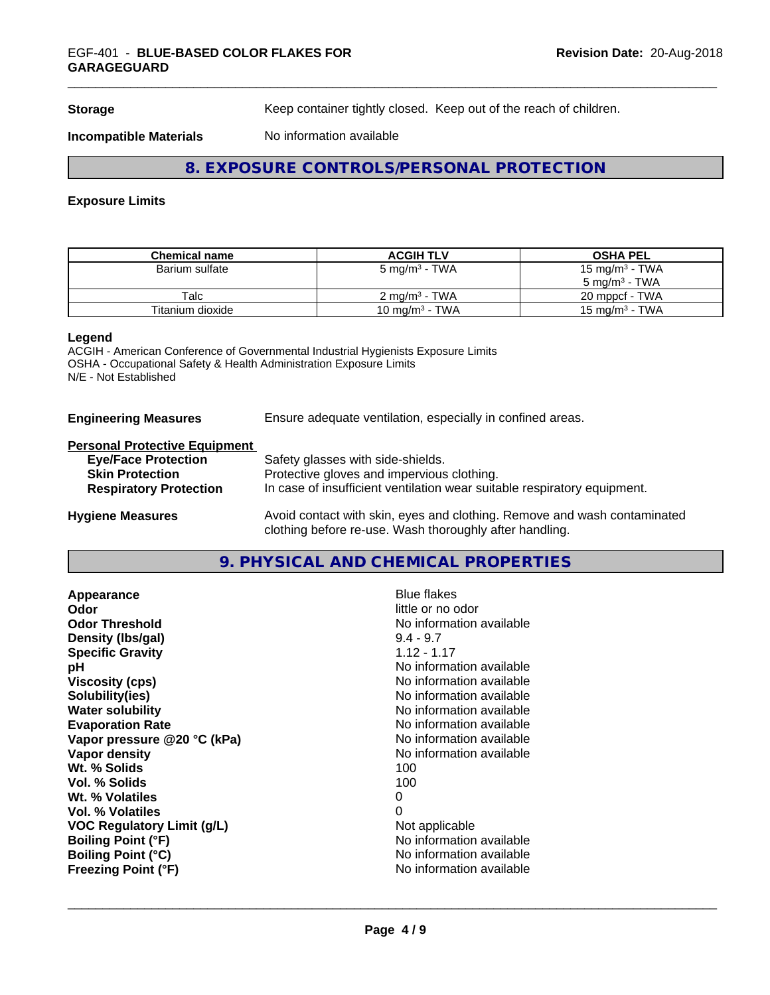**Storage** Keep container tightly closed. Keep out of the reach of children.

**Incompatible Materials** No information available

# **8. EXPOSURE CONTROLS/PERSONAL PROTECTION**

## **Exposure Limits**

| <b>Chemical name</b> | <b>ACGIH TLV</b>         | <b>OSHA PEL</b>            |
|----------------------|--------------------------|----------------------------|
| Barium sulfate       | 5 mg/m $^3$ - TWA        | 15 mg/m <sup>3</sup> - TWA |
|                      |                          | $5 \text{ ma/m}^3$ - TWA   |
| Talc                 | $2 \text{ ma/m}^3$ - TWA | 20 mppcf - TWA             |
| Titanium dioxide     | 10 mg/m $3$ - TWA        | 15 mg/m $3$ - TWA          |

#### **Legend**

ACGIH - American Conference of Governmental Industrial Hygienists Exposure Limits OSHA - Occupational Safety & Health Administration Exposure Limits N/E - Not Established

## **Engineering Measures** Ensure adequate ventilation, especially in confined areas.

#### **Personal Protective Equipment**

| <b>Eye/Face Protection</b><br><b>Skin Protection</b><br><b>Respiratory Protection</b> | Safety glasses with side-shields.<br>Protective gloves and impervious clothing.<br>In case of insufficient ventilation wear suitable respiratory equipment. |
|---------------------------------------------------------------------------------------|-------------------------------------------------------------------------------------------------------------------------------------------------------------|
| <b>Hygiene Measures</b>                                                               | Avoid contact with skin, eyes and clothing. Remove and wash contaminated                                                                                    |

**9. PHYSICAL AND CHEMICAL PROPERTIES**

clothing before re-use. Wash thoroughly after handling.

**Appearance Blue flakes**<br> **Appearance Blue flakes**<br> **Odor Odor**<br> **Odor Threshold**<br> **Odor Threshold**<br> **Odor Threshold**<br> **Odor Threshold Density (Ibs/gal)** 9.4 - 9.7<br> **Specific Gravity** 3.12 - 1.17 **Specific Gravity pH pH**  $\blacksquare$ **Viscosity (cps)** No information available **Solubility(ies)** No information available in the solution of the solution of the solution available in the solution of the solution of the solution of the solution of the solution of the solution of the solution of the so **Water solubility Mater Solubility**<br> **Evaporation Rate** Mate No information available **Vapor pressure @20 °C (kPa)** No information available **Vapor density Vapor density No information available Wt. % Solids** 100 **Vol. % Solids** 100 Wt. % Volatiles 0 **Vol. % Volatiles** 0 **VOC** Requiatory Limit (q/L) Not applicable **Boiling Point (°F)** No information available **Boiling Point (°C)** No information available **Freezing Point (°F)** No information available

**No information available**<br>9.4 - 9.7 **Evaporation Rate** No information available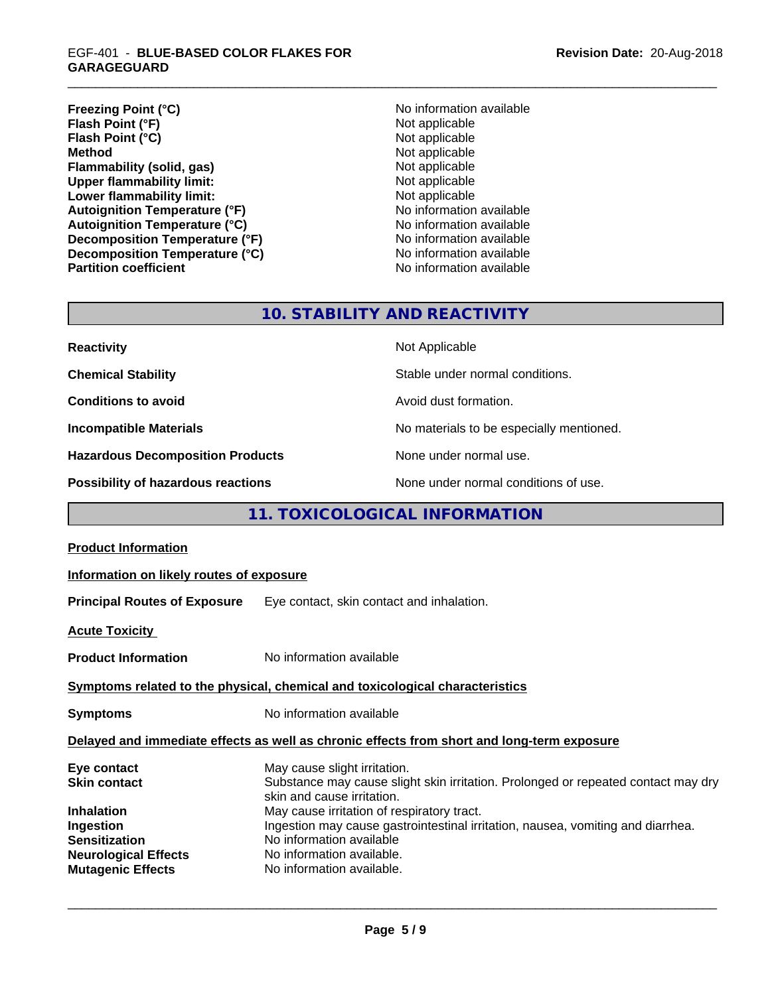**Freezing Point (°C)** No information available **Flash Point (°F)**<br> **Flash Point (°C)**<br> **Flash Point (°C)**<br> **C Flash Point (°C) Method** Not applicable<br> **Flammability (solid, gas)** Not applicable Not applicable **Flammability (solid, gas)**<br> **Upper flammability limit:**<br>
Upper flammability limit: **Upper flammability limit:**<br> **Lower flammability limit:**<br>
Not applicable<br>
Not applicable **Lower flammability limit:**<br> **Autoignition Temperature (°F)** Not applicable available and the Mustafable and Mustafable and Mustafable and Mu **Autoignition Temperature (°F)**<br> **Autoignition Temperature (°C)** No information available **Autoignition Temperature (°C) Decomposition Temperature (°F)** No information available **Decomposition Temperature (°C)**<br> **Partition coefficient Partition coefficient 1 Partition available No information available** 

**No information available** 

# **10. STABILITY AND REACTIVITY**

| <b>Reactivity</b>                         | Not Applicable                           |
|-------------------------------------------|------------------------------------------|
| <b>Chemical Stability</b>                 | Stable under normal conditions.          |
| <b>Conditions to avoid</b>                | Avoid dust formation.                    |
| <b>Incompatible Materials</b>             | No materials to be especially mentioned. |
| <b>Hazardous Decomposition Products</b>   | None under normal use.                   |
| <b>Possibility of hazardous reactions</b> | None under normal conditions of use.     |

# **11. TOXICOLOGICAL INFORMATION**

| Information on likely routes of exposure                                                                                                                                                                                                                                                                                                                               |
|------------------------------------------------------------------------------------------------------------------------------------------------------------------------------------------------------------------------------------------------------------------------------------------------------------------------------------------------------------------------|
| <b>Principal Routes of Exposure</b> Eye contact, skin contact and inhalation.                                                                                                                                                                                                                                                                                          |
|                                                                                                                                                                                                                                                                                                                                                                        |
| No information available                                                                                                                                                                                                                                                                                                                                               |
| Symptoms related to the physical, chemical and toxicological characteristics                                                                                                                                                                                                                                                                                           |
| No information available                                                                                                                                                                                                                                                                                                                                               |
| Delayed and immediate effects as well as chronic effects from short and long-term exposure                                                                                                                                                                                                                                                                             |
| May cause slight irritation.<br>Substance may cause slight skin irritation. Prolonged or repeated contact may dry<br>skin and cause irritation.<br>May cause irritation of respiratory tract.<br>Ingestion may cause gastrointestinal irritation, nausea, vomiting and diarrhea.<br>No information available<br>No information available.<br>No information available. |
|                                                                                                                                                                                                                                                                                                                                                                        |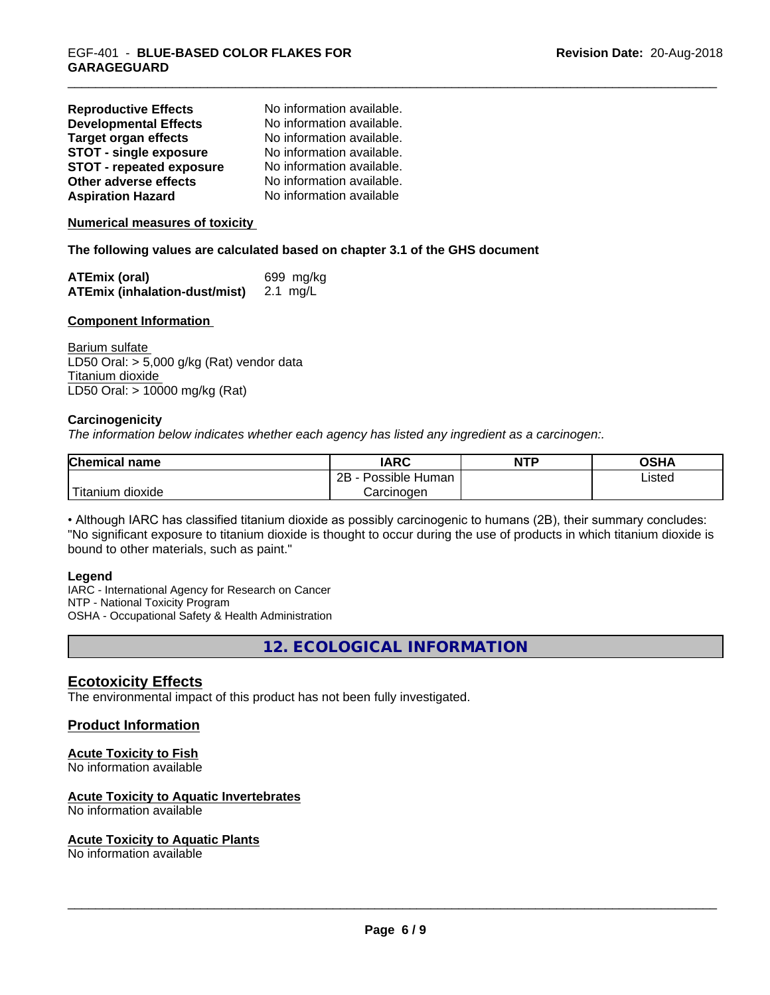| <b>Reproductive Effects</b>     | No information available. |
|---------------------------------|---------------------------|
| <b>Developmental Effects</b>    | No information available. |
| <b>Target organ effects</b>     | No information available. |
| <b>STOT - single exposure</b>   | No information available. |
| <b>STOT - repeated exposure</b> | No information available. |
| Other adverse effects           | No information available. |
| <b>Aspiration Hazard</b>        | No information available  |

**Numerical measures of toxicity**

**The following values are calculated based on chapter 3.1 of the GHS document**

| <b>ATEmix (oral)</b>                 | 699 mg/kg |
|--------------------------------------|-----------|
| <b>ATEmix (inhalation-dust/mist)</b> | 2.1 mg/L  |

#### **Component Information**

Barium sulfate LD50 Oral: > 5,000 g/kg (Rat) vendor data Titanium dioxide LD50 Oral: > 10000 mg/kg (Rat)

#### **Carcinogenicity**

*The information below indicateswhether each agency has listed any ingredient as a carcinogen:.*

| <b>Chemical name</b>  | <b>IARC</b>          | <b>NTP</b> | <b>OSHA</b> |
|-----------------------|----------------------|------------|-------------|
|                       | 2B<br>Possible Human |            | Listed      |
| Titanium<br>dioxide ו | Carcinogen           |            |             |

• Although IARC has classified titanium dioxide as possibly carcinogenic to humans (2B), their summary concludes: "No significant exposure to titanium dioxide is thought to occur during the use of products in which titanium dioxide is bound to other materials, such as paint."

#### **Legend**

IARC - International Agency for Research on Cancer NTP - National Toxicity Program OSHA - Occupational Safety & Health Administration

**12. ECOLOGICAL INFORMATION**

# **Ecotoxicity Effects**

The environmental impact of this product has not been fully investigated.

# **Product Information**

# **Acute Toxicity to Fish**

No information available

#### **Acute Toxicity to Aquatic Invertebrates**

No information available

#### **Acute Toxicity to Aquatic Plants**

No information available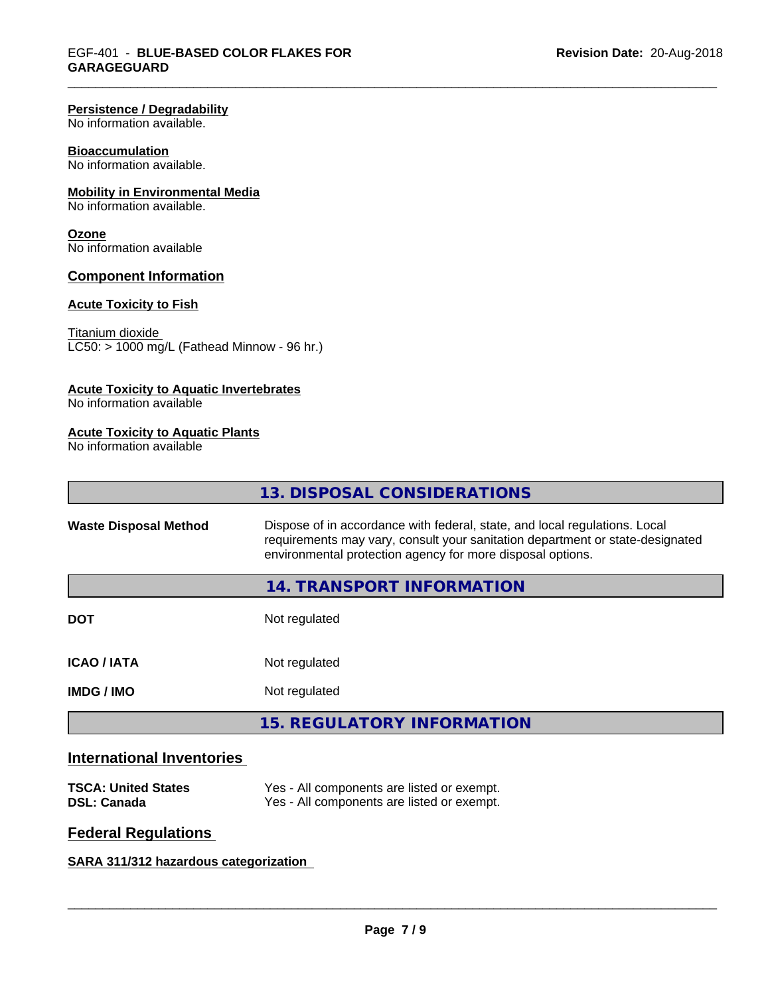#### **Persistence / Degradability**

No information available.

#### **Bioaccumulation**

No information available.

## **Mobility in Environmental Media**

No information available.

#### **Ozone**

No information available

## **Component Information**

## **Acute Toxicity to Fish**

#### Titanium dioxide

 $\overline{\text{LC50:}}$  > 1000 mg/L (Fathead Minnow - 96 hr.)

#### **Acute Toxicity to Aquatic Invertebrates**

No information available

#### **Acute Toxicity to Aquatic Plants**

No information available

|                              | 13. DISPOSAL CONSIDERATIONS                                                                                                                                                                                               |
|------------------------------|---------------------------------------------------------------------------------------------------------------------------------------------------------------------------------------------------------------------------|
| <b>Waste Disposal Method</b> | Dispose of in accordance with federal, state, and local regulations. Local<br>requirements may vary, consult your sanitation department or state-designated<br>environmental protection agency for more disposal options. |
|                              | 14. TRANSPORT INFORMATION                                                                                                                                                                                                 |
| <b>DOT</b>                   | Not regulated                                                                                                                                                                                                             |
| <b>ICAO/IATA</b>             | Not regulated                                                                                                                                                                                                             |
| <b>IMDG/IMO</b>              | Not regulated                                                                                                                                                                                                             |
|                              | <b>15. REGULATORY INFORMATION</b>                                                                                                                                                                                         |
|                              |                                                                                                                                                                                                                           |

# **International Inventories**

| <b>TSCA: United States</b> | Yes - All components are listed or exempt. |
|----------------------------|--------------------------------------------|
| <b>DSL: Canada</b>         | Yes - All components are listed or exempt. |

# **Federal Regulations**

# **SARA 311/312 hazardous categorization**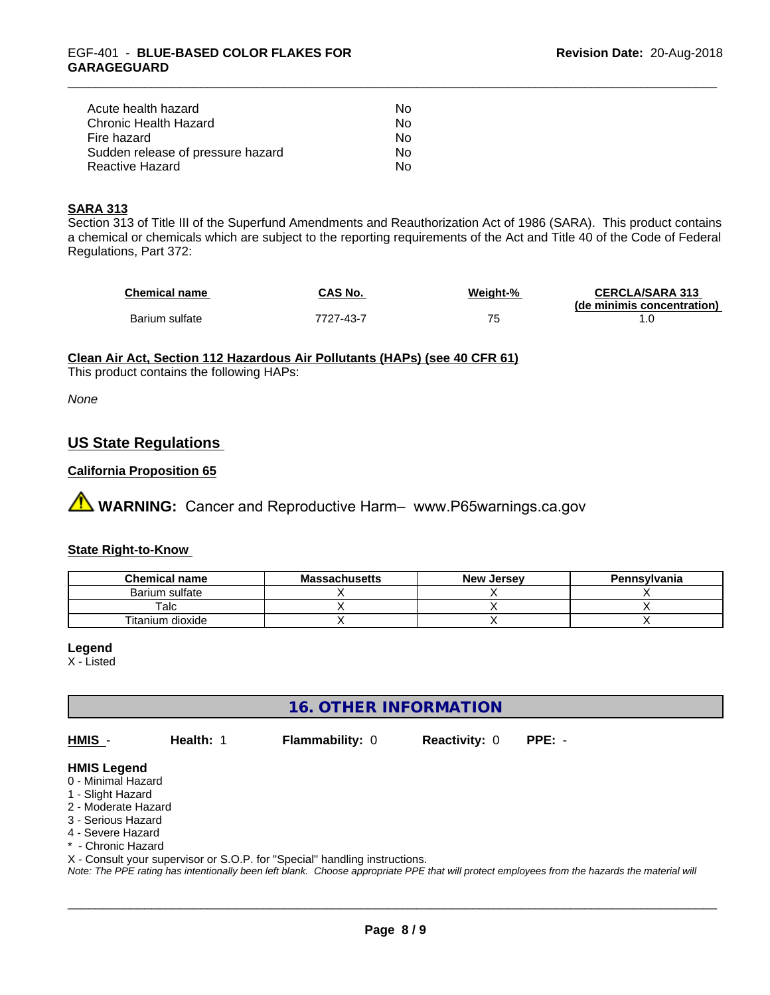| Acute health hazard               | Nο |
|-----------------------------------|----|
| Chronic Health Hazard             | Nο |
| Fire hazard                       | Nο |
| Sudden release of pressure hazard | Nο |
| Reactive Hazard                   | N٥ |

## **SARA 313**

Section 313 of Title III of the Superfund Amendments and Reauthorization Act of 1986 (SARA). This product contains a chemical or chemicals which are subject to the reporting requirements of the Act and Title 40 of the Code of Federal Regulations, Part 372:

| <b>Chemical name</b> | CAS No.   | Weight-% | <b>CERCLA/SARA 313</b>     |
|----------------------|-----------|----------|----------------------------|
|                      |           |          | (de minimis concentration) |
| Barium sulfate       | 7727-43-7 |          |                            |

## **Clean Air Act,Section 112 Hazardous Air Pollutants (HAPs) (see 40 CFR 61)**

This product contains the following HAPs:

*None*

# **US State Regulations**

#### **California Proposition 65**

**AN** WARNING: Cancer and Reproductive Harm– www.P65warnings.ca.gov

#### **State Right-to-Know**

| <b>Chemical name</b> | <b>Massachusetts</b> | <b>New Jersey</b> | Pennsylvania |
|----------------------|----------------------|-------------------|--------------|
| Barium sulfate       |                      |                   |              |
| $\mathsf {T}$ alc    |                      |                   |              |
| Titanium dioxide     |                      |                   |              |

#### **Legend**

X - Listed

# **16. OTHER INFORMATION**

**HMIS** - **Health:** 1 **Flammability:** 0 **Reactivity:** 0 **PPE:** -

 $\overline{\phantom{a}}$  ,  $\overline{\phantom{a}}$  ,  $\overline{\phantom{a}}$  ,  $\overline{\phantom{a}}$  ,  $\overline{\phantom{a}}$  ,  $\overline{\phantom{a}}$  ,  $\overline{\phantom{a}}$  ,  $\overline{\phantom{a}}$  ,  $\overline{\phantom{a}}$  ,  $\overline{\phantom{a}}$  ,  $\overline{\phantom{a}}$  ,  $\overline{\phantom{a}}$  ,  $\overline{\phantom{a}}$  ,  $\overline{\phantom{a}}$  ,  $\overline{\phantom{a}}$  ,  $\overline{\phantom{a}}$ 

#### **HMIS Legend**

- 0 Minimal Hazard
- 1 Slight Hazard
- 2 Moderate Hazard
- 3 Serious Hazard
- 4 Severe Hazard
- \* Chronic Hazard

X - Consult your supervisor or S.O.P. for "Special" handling instructions.

*Note: The PPE rating has intentionally been left blank. Choose appropriate PPE that will protect employees from the hazards the material will*